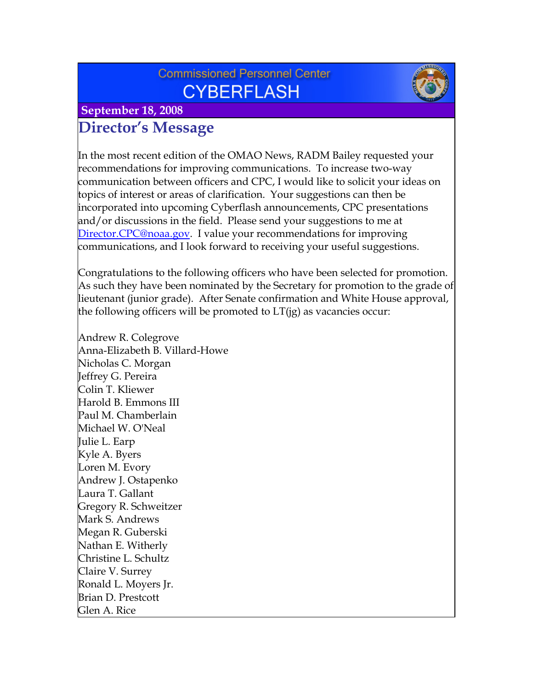# **Commissioned Personnel Center CYBERFLASH**



 **September 18, 2008**

# **Director's Message**

In the most recent edition of the OMAO News, RADM Bailey requested your recommendations for improving communications. To increase two-way communication between officers and CPC, I would like to solicit your ideas on topics of interest or areas of clarification. Your suggestions can then be incorporated into upcoming Cyberflash announcements, CPC presentations and/or discussions in the field. Please send your suggestions to me at Director.CPC@noaa.gov. I value your recommendations for improving communications, and I look forward to receiving your useful suggestions.

Congratulations to the following officers who have been selected for promotion. As such they have been nominated by the Secretary for promotion to the grade of lieutenant (junior grade). After Senate confirmation and White House approval, the following officers will be promoted to  $LT(ig)$  as vacancies occur:

Andrew R. Colegrove Anna-Elizabeth B. Villard-Howe Nicholas C. Morgan Jeffrey G. Pereira Colin T. Kliewer Harold B. Emmons III Paul M. Chamberlain Michael W. O'Neal Julie L. Earp Kyle A. Byers Loren M. Evory Andrew J. Ostapenko Laura T. Gallant Gregory R. Schweitzer Mark S. Andrews Megan R. Guberski Nathan E. Witherly Christine L. Schultz Claire V. Surrey Ronald L. Moyers Jr. Brian D. Prestcott Glen A. Rice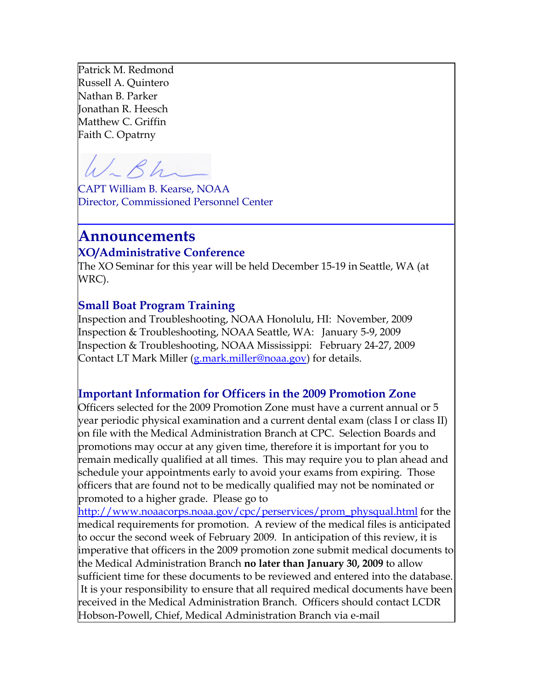Patrick M. Redmond Russell A. Quintero Nathan B. Parker Jonathan R. Heesch Matthew C. Griffin Faith C. Opatrny

 $Rh$ 

CAPT William B. Kearse, NOAA Director, Commissioned Personnel Center

## **Announcements XO/Administrative Conference**

The XO Seminar for this year will be held December 15-19 in Seattle, WA (at WRC).

**\_\_\_\_\_\_\_\_\_\_\_\_\_\_\_\_\_\_\_\_\_\_\_\_\_\_\_\_\_\_\_\_\_\_\_\_\_\_\_\_\_\_\_\_\_\_\_\_**

### **Small Boat Program Training**

Inspection and Troubleshooting, NOAA Honolulu, HI: November, 2009 Inspection & Troubleshooting, NOAA Seattle, WA: January 5-9, 2009 Inspection & Troubleshooting, NOAA Mississippi: February 24-27, 2009 Contact LT Mark Miller ([g.mark.miller@noaa.gov](mailto:g.mark.miller@noaa.gov)) for details.

### **Important Information for Officers in the 2009 Promotion Zone**

Officers selected for the 2009 Promotion Zone must have a current annual or 5 year periodic physical examination and a current dental exam (class I or class II) on file with the Medical Administration Branch at CPC. Selection Boards and promotions may occur at any given time, therefore it is important for you to remain medically qualified at all times. This may require you to plan ahead and schedule your appointments early to avoid your exams from expiring. Those officers that are found not to be medically qualified may not be nominated or promoted to a higher grade. Please go to

[http://www.noaacorps.noaa.gov/cpc/per](http://www.noaacorps.noaa.gov/cpc/perservices/prom_physqual.html)services/prom\_physqual.html for the [medical requirements for promotion. A review of the medical files is anticipated](http://www.noaacorps.noaa.gov/cpc/perservices/prom_physqual.html)  [to occur the second week of February 2009. In anticipation of this review, it is](http://www.noaacorps.noaa.gov/cpc/perservices/prom_physqual.html)  [imperative that officers in the 2009 promotion zone submit medical documents](http://www.noaacorps.noaa.gov/cpc/perservices/prom_physqual.html) to [the Medical Administration Branch](http://www.noaacorps.noaa.gov/cpc/perservices/prom_physqual.html) **no later than January 30, 2009** to allow [sufficient time for these documents to be reviewed and entered into the data](http://www.noaacorps.noaa.gov/cpc/perservices/prom_physqual.html)base.  [It is your responsibility to ensure that all required medical documents have been](http://www.noaacorps.noaa.gov/cpc/perservices/prom_physqual.html) [received in the Medical Administration Branch. Officers should contact LCDR](http://www.noaacorps.noaa.gov/cpc/perservices/prom_physqual.html)  [Hobson-Powell, Chief, Medical Administration Branch via e-mail](http://www.noaacorps.noaa.gov/cpc/perservices/prom_physqual.html)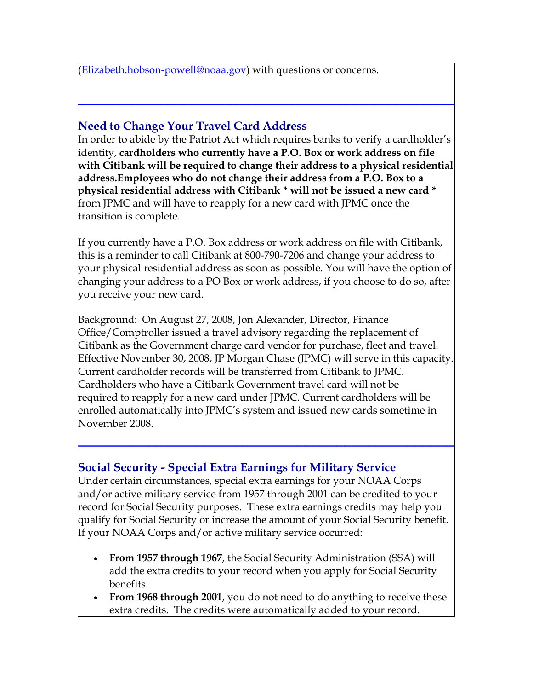[\(E](http://www.noaacorps.noaa.gov/cpc/perservices/prom_physqual.html)lizabeth.hobson-powell@noaa.go[v\) with questions or concerns.](mailto:Elizabeth.hobson-powell@noaa.gov)

## **Need to Change Your Travel Card Address**

In order to abide by the Patriot Act which requires banks to verify a cardholder's identity, **cardholders who currently have a P.O. Box or work address on file with Citibank will be required to change their address to a physical residential address.Employees who do not change their address from a P.O. Box to a physical residential address with Citibank \* will not be issued a new card \***  from JPMC and will have to reapply for a new card with JPMC once the transition is complete.

**\_\_\_\_\_\_\_\_\_\_\_\_\_\_\_\_\_\_\_\_\_\_\_\_\_\_\_\_\_\_\_\_\_\_\_\_\_\_\_\_\_\_\_\_\_\_\_\_**

If you currently have a P.O. Box address or work address on file with Citibank, this is a reminder to call Citibank at 800-790-7206 and change your address to your physical residential address as soon as possible. You will have the option of changing your address to a PO Box or work address, if you choose to do so, after you receive your new card.

Background: On August 27, 2008, Jon Alexander, Director, Finance Office/Comptroller issued a travel advisory regarding the replacement of Citibank as the Government charge card vendor for purchase, fleet and travel. Effective November 30, 2008, JP Morgan Chase (JPMC) will serve in this capacity. Current cardholder records will be transferred from Citibank to JPMC. Cardholders who have a Citibank Government travel card will not be required to reapply for a new card under JPMC. Current cardholders will be enrolled automatically into JPMC's system and issued new cards sometime in November 2008.

**\_\_\_\_\_\_\_\_\_\_\_\_\_\_\_\_\_\_\_\_\_\_\_\_\_\_\_\_\_\_\_\_\_\_\_\_\_\_\_\_\_\_\_\_\_\_\_\_**

### **Social Security - Special Extra Earnings for Military Service**

Under certain circumstances, special extra earnings for your NOAA Corps and/or active military service from 1957 through 2001 can be credited to your record for Social Security purposes. These extra earnings credits may help you qualify for Social Security or increase the amount of your Social Security benefit. If your NOAA Corps and/or active military service occurred:

- **From 1957 through 1967**, the Social Security Administration (SSA) will add the extra credits to your record when you apply for Social Security benefits.
- **From 1968 through 2001**, you do not need to do anything to receive these extra credits. The credits were automatically added to your record.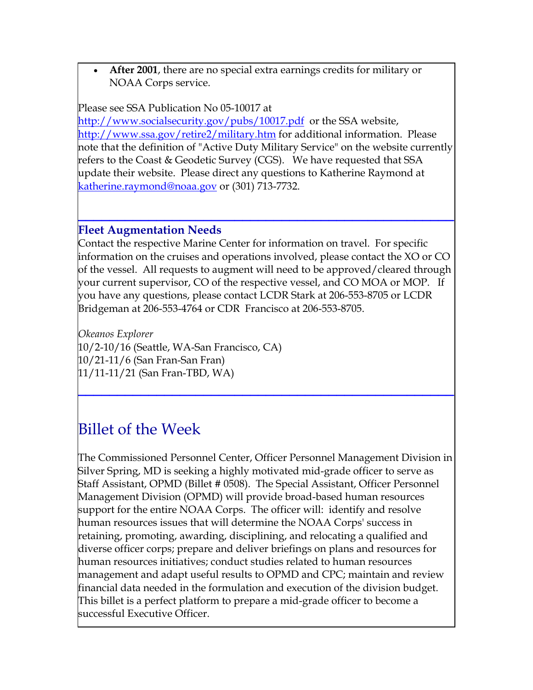• **After 2001**, there are no special extra earnings credits for military or NOAA Corps service.

#### Please see SSA Publication No 05-10017 at

[http://www.socialsecurity.gov/pubs/1001](http://www.socialsecurity.gov/pubs/10017.pdf)7.pdf or the SSA website, http://www.ssa.gov/retire2/military.ht[m for additional information.](http://www.ssa.gov/retire2/military.htm) Please [note that the definition of "Active Duty Military Service" on the website curren](http://www.ssa.gov/retire2/military.htm)tly [refers to the Coast & Geodetic Survey \(CGS\). We have requested that SSA](http://www.ssa.gov/retire2/military.htm)  [update their website. Please direct any questions to Katherine Raymond at](http://www.ssa.gov/retire2/military.htm)  katherine.raymond@noaa.go[v or \(301\) 713-7732.](mailto:katherine.raymond@noaa.gov)

### **Fleet Augmentation Needs**

Contact the respective Marine Center for information on travel. For specific information on the cruises and operations involved, please contact the XO or CO of the vessel. All requests to augment will need to be approved/cleared through your current supervisor, CO of the respective vessel, and CO MOA or MOP. If you have any questions, please contact LCDR Stark at 206-553-8705 or LCDR Bridgeman at 206-553-4764 or CDR Francisco at 206-553-8705.

**\_\_\_\_\_\_\_\_\_\_\_\_\_\_\_\_\_\_\_\_\_\_\_\_\_\_\_\_\_\_\_\_\_\_\_\_\_\_\_\_\_\_\_\_\_\_\_\_**

**\_\_\_\_\_\_\_\_\_\_\_\_\_\_\_\_\_\_\_\_\_\_\_\_\_\_\_\_\_\_\_\_\_\_\_\_\_\_\_\_\_\_\_\_\_\_\_\_**

*Okeanos Explorer* 10/2-10/16 (Seattle, WA-San Francisco, CA) 10/21-11/6 (San Fran-San Fran) 11/11-11/21 (San Fran-TBD, WA)

# Billet of the Week

The Commissioned Personnel Center, Officer Personnel Management Division in Silver Spring, MD is seeking a highly motivated mid-grade officer to serve as Staff Assistant, OPMD (Billet # 0508). The Special Assistant, Officer Personnel Management Division (OPMD) will provide broad-based human resources support for the entire NOAA Corps. The officer will: identify and resolve human resources issues that will determine the NOAA Corps' success in retaining, promoting, awarding, disciplining, and relocating a qualified and diverse officer corps; prepare and deliver briefings on plans and resources for human resources initiatives; conduct studies related to human resources management and adapt useful results to OPMD and CPC; maintain and review financial data needed in the formulation and execution of the division budget. This billet is a perfect platform to prepare a mid-grade officer to become a successful Executive Officer.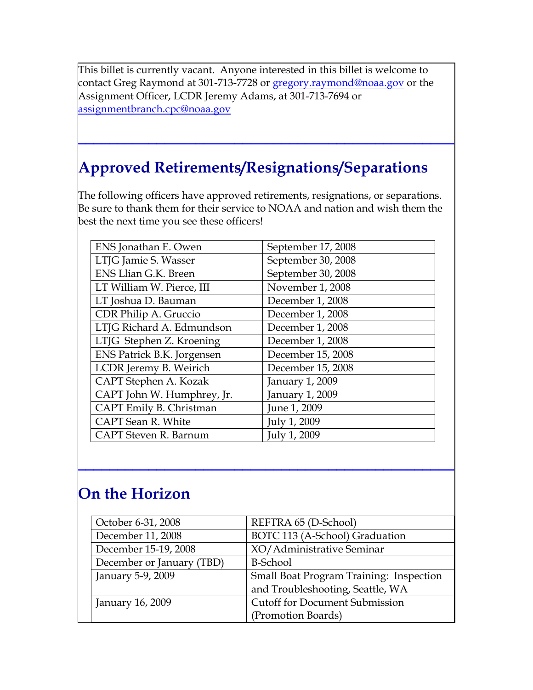This billet is currently vacant. Anyone interested in this billet is welcome to contact Greg Raymond at 301-713-7728 or gregory.raymond@noaa.gov or the Assignment Officer, LCDR Jeremy Adams, at 301-713-7694 or [assignmentbranch.cpc@noaa.gov](mailto::gregory.raymond@noaa.gov)

# **Approved Retirements/Resignations/Separations**

**[\\_\\_\\_\\_\\_\\_\\_\\_\\_\\_\\_\\_\\_\\_\\_\\_\\_\\_\\_\\_\\_\\_](mailto::gregory.raymond@noaa.gov)\_\_\_\_\_\_\_\_\_\_\_\_\_\_\_\_\_\_\_\_\_\_\_\_\_\_**

The following officers have approved retirements, resignations, or separations. Be sure to thank them for their service to NOAA and nation and wish them the best the next time you see these officers!

| ENS Jonathan E. Owen       | September 17, 2008 |
|----------------------------|--------------------|
| LTJG Jamie S. Wasser       | September 30, 2008 |
| ENS Llian G.K. Breen       | September 30, 2008 |
| LT William W. Pierce, III  | November 1, 2008   |
| LT Joshua D. Bauman        | December 1, 2008   |
| CDR Philip A. Gruccio      | December 1, 2008   |
| LTJG Richard A. Edmundson  | December 1, 2008   |
| LTJG Stephen Z. Kroening   | December 1, 2008   |
| ENS Patrick B.K. Jorgensen | December 15, 2008  |
| LCDR Jeremy B. Weirich     | December 15, 2008  |
| CAPT Stephen A. Kozak      | January 1, 2009    |
| CAPT John W. Humphrey, Jr. | January 1, 2009    |
| CAPT Emily B. Christman    | June 1, 2009       |
| CAPT Sean R. White         | July 1, 2009       |
| CAPT Steven R. Barnum      | July 1, 2009       |

# **On the Horizon**

| October 6-31, 2008        | REFTRA 65 (D-School)                    |
|---------------------------|-----------------------------------------|
| December 11, 2008         | BOTC 113 (A-School) Graduation          |
| December 15-19, 2008      | XO/Administrative Seminar               |
| December or January (TBD) | <b>B-School</b>                         |
| January 5-9, 2009         | Small Boat Program Training: Inspection |
|                           | and Troubleshooting, Seattle, WA        |
| January 16, 2009          | <b>Cutoff for Document Submission</b>   |
|                           | (Promotion Boards)                      |

**\_\_\_\_\_\_\_\_\_\_\_\_\_\_\_\_\_\_\_\_\_\_\_\_\_\_\_\_\_\_\_\_\_\_\_\_\_\_\_\_\_\_\_\_\_\_\_\_**